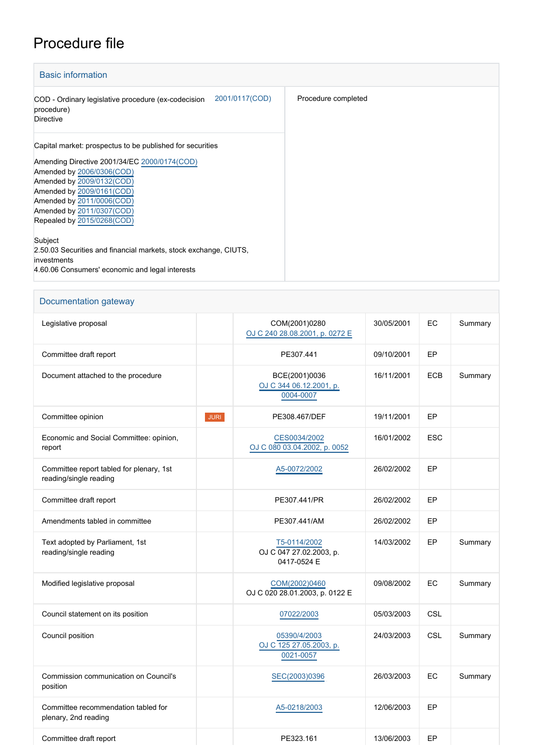## Procedure file

| <b>Basic information</b>                                                                                                                                                                                                                                                                            |                     |
|-----------------------------------------------------------------------------------------------------------------------------------------------------------------------------------------------------------------------------------------------------------------------------------------------------|---------------------|
| 2001/0117(COD)<br>COD - Ordinary legislative procedure (ex-codecision<br>procedure)<br><b>Directive</b>                                                                                                                                                                                             | Procedure completed |
| Capital market: prospectus to be published for securities<br>Amending Directive 2001/34/EC 2000/0174(COD)<br>Amended by 2006/0306(COD)<br>Amended by 2009/0132(COD)<br>Amended by 2009/0161(COD)<br>Amended by 2011/0006(COD)<br>Amended by 2011/0307(COD)<br>Repealed by 2015/0268(COD)<br>Subject |                     |
| 2.50.03 Securities and financial markets, stock exchange, CIUTS,<br>investments<br>4.60.06 Consumers' economic and legal interests                                                                                                                                                                  |                     |

## Documentation gateway

| Legislative proposal                                               |      | COM(2001)0280<br>OJ C 240 28.08.2001, p. 0272 E        | 30/05/2001 | EC         | Summary |
|--------------------------------------------------------------------|------|--------------------------------------------------------|------------|------------|---------|
| Committee draft report                                             |      | PE307.441                                              | 09/10/2001 | EP         |         |
| Document attached to the procedure                                 |      | BCE(2001)0036<br>OJ C 344 06.12.2001, p.<br>0004-0007  | 16/11/2001 | <b>ECB</b> | Summary |
| Committee opinion                                                  | JURI | PE308.467/DEF                                          | 19/11/2001 | EP         |         |
| Economic and Social Committee: opinion,<br>report                  |      | CES0034/2002<br>OJ C 080 03.04.2002, p. 0052           | 16/01/2002 | <b>ESC</b> |         |
| Committee report tabled for plenary, 1st<br>reading/single reading |      | A5-0072/2002                                           | 26/02/2002 | EP         |         |
| Committee draft report                                             |      | PE307.441/PR                                           | 26/02/2002 | EP         |         |
| Amendments tabled in committee                                     |      | PE307.441/AM                                           | 26/02/2002 | EP         |         |
| Text adopted by Parliament, 1st<br>reading/single reading          |      | T5-0114/2002<br>OJ C 047 27.02.2003, p.<br>0417-0524 E | 14/03/2002 | <b>EP</b>  | Summary |
| Modified legislative proposal                                      |      | COM(2002)0460<br>OJ C 020 28.01.2003, p. 0122 E        | 09/08/2002 | EC         | Summary |
| Council statement on its position                                  |      | 07022/2003                                             | 05/03/2003 | <b>CSL</b> |         |
| Council position                                                   |      | 05390/4/2003<br>OJ C 125 27.05.2003, p.<br>0021-0057   | 24/03/2003 | CSL        | Summary |
| Commission communication on Council's<br>position                  |      | SEC(2003)0396                                          | 26/03/2003 | EC         | Summary |
| Committee recommendation tabled for<br>plenary, 2nd reading        |      | A5-0218/2003                                           | 12/06/2003 | EP         |         |
| Committee draft report                                             |      | PE323.161                                              | 13/06/2003 | EP         |         |